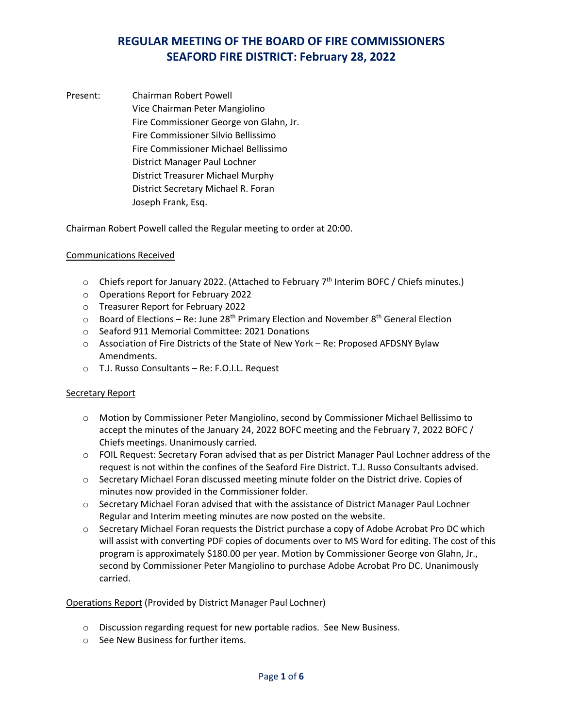Present: Chairman Robert Powell Vice Chairman Peter Mangiolino Fire Commissioner George von Glahn, Jr. Fire Commissioner Silvio Bellissimo Fire Commissioner Michael Bellissimo District Manager Paul Lochner District Treasurer Michael Murphy District Secretary Michael R. Foran Joseph Frank, Esq.

Chairman Robert Powell called the Regular meeting to order at 20:00.

### Communications Received

- $\circ$  Chiefs report for January 2022. (Attached to February 7<sup>th</sup> Interim BOFC / Chiefs minutes.)
- o Operations Report for February 2022
- o Treasurer Report for February 2022
- $\circ$  Board of Elections Re: June 28<sup>th</sup> Primary Election and November 8<sup>th</sup> General Election
- o Seaford 911 Memorial Committee: 2021 Donations
- o Association of Fire Districts of the State of New York Re: Proposed AFDSNY Bylaw Amendments.
- o T.J. Russo Consultants Re: F.O.I.L. Request

#### Secretary Report

- o Motion by Commissioner Peter Mangiolino, second by Commissioner Michael Bellissimo to accept the minutes of the January 24, 2022 BOFC meeting and the February 7, 2022 BOFC / Chiefs meetings. Unanimously carried.
- o FOIL Request: Secretary Foran advised that as per District Manager Paul Lochner address of the request is not within the confines of the Seaford Fire District. T.J. Russo Consultants advised.
- o Secretary Michael Foran discussed meeting minute folder on the District drive. Copies of minutes now provided in the Commissioner folder.
- $\circ$  Secretary Michael Foran advised that with the assistance of District Manager Paul Lochner Regular and Interim meeting minutes are now posted on the website.
- $\circ$  Secretary Michael Foran requests the District purchase a copy of Adobe Acrobat Pro DC which will assist with converting PDF copies of documents over to MS Word for editing. The cost of this program is approximately \$180.00 per year. Motion by Commissioner George von Glahn, Jr., second by Commissioner Peter Mangiolino to purchase Adobe Acrobat Pro DC. Unanimously carried.

#### Operations Report (Provided by District Manager Paul Lochner)

- o Discussion regarding request for new portable radios. See New Business.
- o See New Business for further items.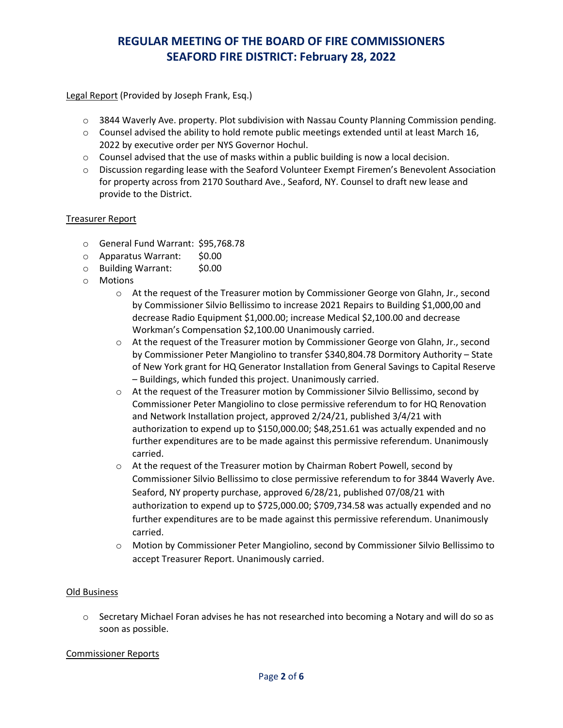Legal Report (Provided by Joseph Frank, Esq.)

- $\circ$  3844 Waverly Ave. property. Plot subdivision with Nassau County Planning Commission pending.
- $\circ$  Counsel advised the ability to hold remote public meetings extended until at least March 16, 2022 by executive order per NYS Governor Hochul.
- $\circ$  Counsel advised that the use of masks within a public building is now a local decision.
- o Discussion regarding lease with the Seaford Volunteer Exempt Firemen's Benevolent Association for property across from 2170 Southard Ave., Seaford, NY. Counsel to draft new lease and provide to the District.

### Treasurer Report

- o General Fund Warrant: \$95,768.78
- o Apparatus Warrant: \$0.00
- o Building Warrant: \$0.00
- o Motions
	- o At the request of the Treasurer motion by Commissioner George von Glahn, Jr., second by Commissioner Silvio Bellissimo to increase 2021 Repairs to Building \$1,000,00 and decrease Radio Equipment \$1,000.00; increase Medical \$2,100.00 and decrease Workman's Compensation \$2,100.00 Unanimously carried.
	- o At the request of the Treasurer motion by Commissioner George von Glahn, Jr., second by Commissioner Peter Mangiolino to transfer \$340,804.78 Dormitory Authority – State of New York grant for HQ Generator Installation from General Savings to Capital Reserve – Buildings, which funded this project. Unanimously carried.
	- $\circ$  At the request of the Treasurer motion by Commissioner Silvio Bellissimo, second by Commissioner Peter Mangiolino to close permissive referendum to for HQ Renovation and Network Installation project, approved 2/24/21, published 3/4/21 with authorization to expend up to \$150,000.00; \$48,251.61 was actually expended and no further expenditures are to be made against this permissive referendum. Unanimously carried.
	- $\circ$  At the request of the Treasurer motion by Chairman Robert Powell, second by Commissioner Silvio Bellissimo to close permissive referendum to for 3844 Waverly Ave. Seaford, NY property purchase, approved 6/28/21, published 07/08/21 with authorization to expend up to \$725,000.00; \$709,734.58 was actually expended and no further expenditures are to be made against this permissive referendum. Unanimously carried.
	- o Motion by Commissioner Peter Mangiolino, second by Commissioner Silvio Bellissimo to accept Treasurer Report. Unanimously carried.

#### Old Business

 $\circ$  Secretary Michael Foran advises he has not researched into becoming a Notary and will do so as soon as possible.

#### Commissioner Reports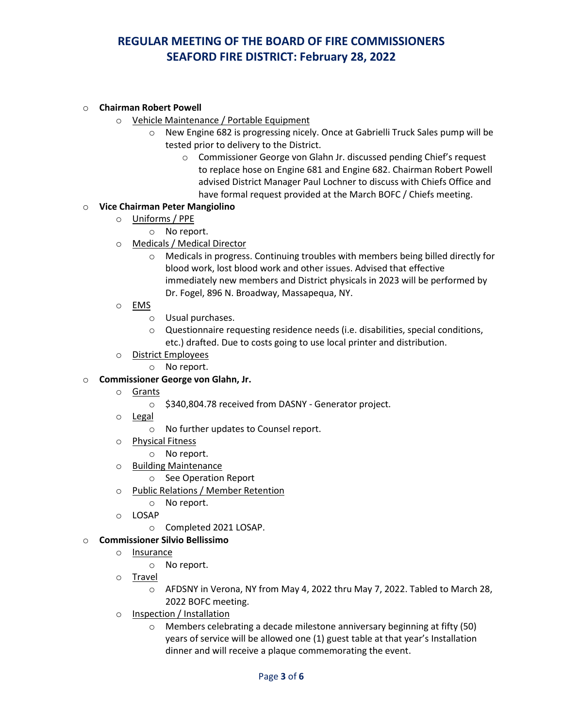#### o **Chairman Robert Powell**

- o Vehicle Maintenance / Portable Equipment
	- o New Engine 682 is progressing nicely. Once at Gabrielli Truck Sales pump will be tested prior to delivery to the District.
		- o Commissioner George von Glahn Jr. discussed pending Chief's request to replace hose on Engine 681 and Engine 682. Chairman Robert Powell advised District Manager Paul Lochner to discuss with Chiefs Office and have formal request provided at the March BOFC / Chiefs meeting.

### o **Vice Chairman Peter Mangiolino**

- o Uniforms / PPE
	- o No report.
- o Medicals / Medical Director
	- o Medicals in progress. Continuing troubles with members being billed directly for blood work, lost blood work and other issues. Advised that effective immediately new members and District physicals in 2023 will be performed by Dr. Fogel, 896 N. Broadway, Massapequa, NY.
- o EMS
	- o Usual purchases.
	- o Questionnaire requesting residence needs (i.e. disabilities, special conditions, etc.) drafted. Due to costs going to use local printer and distribution.
- o District Employees
	- o No report.

#### o **Commissioner George von Glahn, Jr.**

- o Grants
	- o \$340,804.78 received from DASNY Generator project.
- o Legal
	- o No further updates to Counsel report.
- o Physical Fitness
	- o No report.
- o Building Maintenance
	- o See Operation Report
- o Public Relations / Member Retention
	- o No report.
- o LOSAP
	- o Completed 2021 LOSAP.

#### o **Commissioner Silvio Bellissimo**

- o Insurance
	- o No report.
- o Travel
	- o AFDSNY in Verona, NY from May 4, 2022 thru May 7, 2022. Tabled to March 28, 2022 BOFC meeting.
- o Inspection / Installation
	- o Members celebrating a decade milestone anniversary beginning at fifty (50) years of service will be allowed one (1) guest table at that year's Installation dinner and will receive a plaque commemorating the event.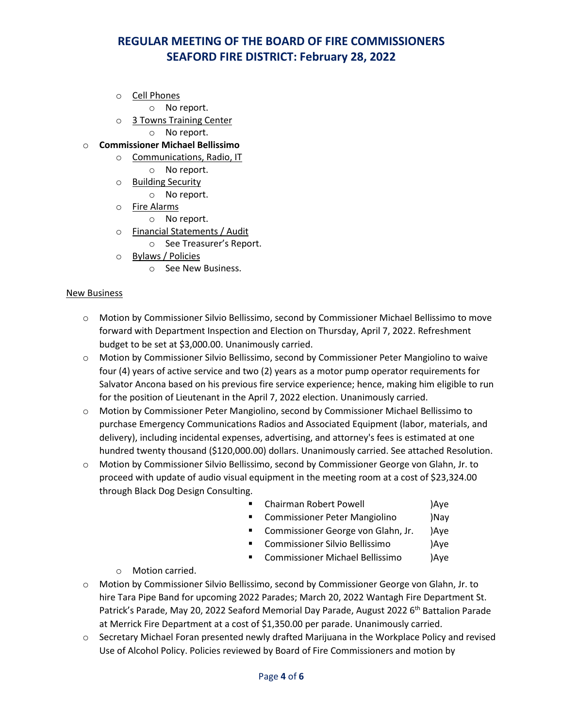o Cell Phones

o No report.

o 3 Towns Training Center

o No report.

- o **Commissioner Michael Bellissimo**
	- o Communications, Radio, IT
		- o No report.
	- o Building Security
		- o No report.
	- o Fire Alarms
		- o No report.
	- o Financial Statements / Audit
		- o See Treasurer's Report.
	- o Bylaws / Policies
		- o See New Business.

#### New Business

- o Motion by Commissioner Silvio Bellissimo, second by Commissioner Michael Bellissimo to move forward with Department Inspection and Election on Thursday, April 7, 2022. Refreshment budget to be set at \$3,000.00. Unanimously carried.
- o Motion by Commissioner Silvio Bellissimo, second by Commissioner Peter Mangiolino to waive four (4) years of active service and two (2) years as a motor pump operator requirements for Salvator Ancona based on his previous fire service experience; hence, making him eligible to run for the position of Lieutenant in the April 7, 2022 election. Unanimously carried.
- o Motion by Commissioner Peter Mangiolino, second by Commissioner Michael Bellissimo to purchase Emergency Communications Radios and Associated Equipment (labor, materials, and delivery), including incidental expenses, advertising, and attorney's fees is estimated at one hundred twenty thousand (\$120,000.00) dollars. Unanimously carried. See attached Resolution.
- o Motion by Commissioner Silvio Bellissimo, second by Commissioner George von Glahn, Jr. to proceed with update of audio visual equipment in the meeting room at a cost of \$23,324.00 through Black Dog Design Consulting.
	- Chairman Robert Powell )Aye
	- **E** Commissioner Peter Mangiolino )Nay
	- **EXP** Commissioner George von Glahn, Jr. (Aye
	- Commissioner Silvio Bellissimo )Aye
	- Commissioner Michael Bellissimo )Aye
	- o Motion carried.
- o Motion by Commissioner Silvio Bellissimo, second by Commissioner George von Glahn, Jr. to hire Tara Pipe Band for upcoming 2022 Parades; March 20, 2022 Wantagh Fire Department St. Patrick's Parade, May 20, 2022 Seaford Memorial Day Parade, August 2022 6<sup>th</sup> Battalion Parade at Merrick Fire Department at a cost of \$1,350.00 per parade. Unanimously carried.
- o Secretary Michael Foran presented newly drafted Marijuana in the Workplace Policy and revised Use of Alcohol Policy. Policies reviewed by Board of Fire Commissioners and motion by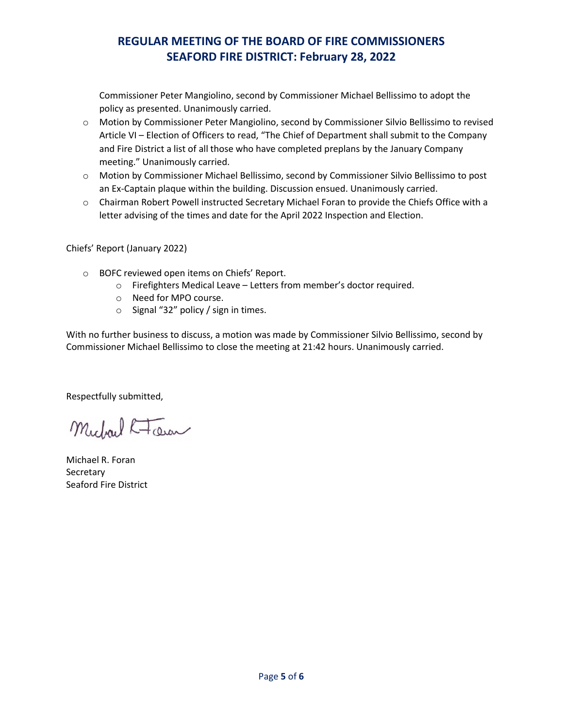Commissioner Peter Mangiolino, second by Commissioner Michael Bellissimo to adopt the policy as presented. Unanimously carried.

- o Motion by Commissioner Peter Mangiolino, second by Commissioner Silvio Bellissimo to revised Article VI – Election of Officers to read, "The Chief of Department shall submit to the Company and Fire District a list of all those who have completed preplans by the January Company meeting." Unanimously carried.
- o Motion by Commissioner Michael Bellissimo, second by Commissioner Silvio Bellissimo to post an Ex-Captain plaque within the building. Discussion ensued. Unanimously carried.
- o Chairman Robert Powell instructed Secretary Michael Foran to provide the Chiefs Office with a letter advising of the times and date for the April 2022 Inspection and Election.

Chiefs' Report (January 2022)

- o BOFC reviewed open items on Chiefs' Report.
	- o Firefighters Medical Leave Letters from member's doctor required.
	- o Need for MPO course.
	- o Signal "32" policy / sign in times.

With no further business to discuss, a motion was made by Commissioner Silvio Bellissimo, second by Commissioner Michael Bellissimo to close the meeting at 21:42 hours. Unanimously carried.

Respectfully submitted,

Michael R-Tour

Michael R. Foran **Secretary** Seaford Fire District